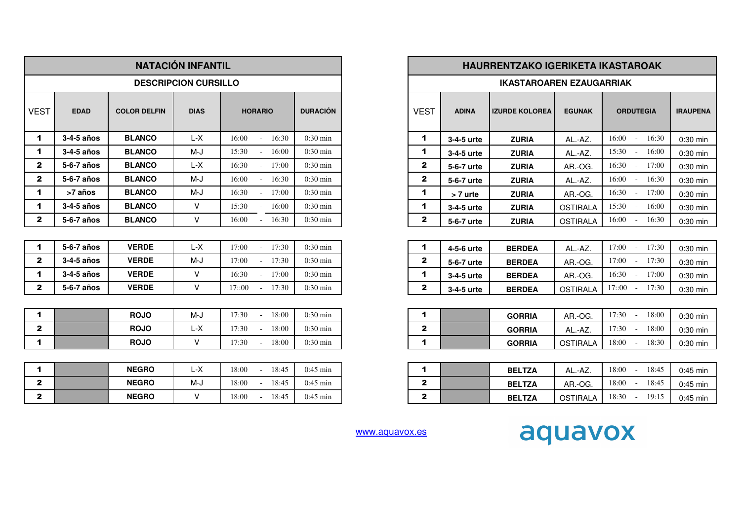|                      |             |                     | <b>NATACIÓN INFANTIL</b>    |                            |                    |                      |              | <b>HAURRENTZAKO IGERIKETA IKASTAROAK</b> |                 |                          |                          |
|----------------------|-------------|---------------------|-----------------------------|----------------------------|--------------------|----------------------|--------------|------------------------------------------|-----------------|--------------------------|--------------------------|
|                      |             |                     | <b>DESCRIPCION CURSILLO</b> |                            |                    |                      |              | <b>IKASTAROAREN EZAUGARRIAK</b>          |                 |                          |                          |
| <b>VEST</b>          | <b>EDAD</b> | <b>COLOR DELFIN</b> | <b>DIAS</b>                 | <b>HORARIO</b>             | <b>DURACIÓN</b>    | <b>VEST</b>          | <b>ADINA</b> | <b>IZURDE KOLOREA</b>                    | <b>EGUNAK</b>   | <b>ORDUTEGIA</b>         | <b>IRAUPENA</b>          |
| $\mathbf 1$          | 3-4-5 años  | <b>BLANCO</b>       | $L-X$                       | 16:00<br>16:30<br>$\sim$   | $0:30 \text{ min}$ | $\blacktriangleleft$ | 3-4-5 urte   | <b>ZURIA</b>                             | AL.-AZ.         | $16:00 -$<br>16:30       |                          |
| 1                    | 3-4-5 años  | <b>BLANCO</b>       | M-J                         | 15:30<br>16:00             | $0:30$ min         | 1                    | 3-4-5 urte   | <b>ZURIA</b>                             | AL.-AZ.         | $15:30 -$<br>16:00       |                          |
| $\mathbf{2}$         | 5-6-7 años  | <b>BLANCO</b>       | $L-X$                       | 16:30<br>$-17:00$          | $0:30 \text{ min}$ | $\mathbf{2}$         | 5-6-7 urte   | <b>ZURIA</b>                             | AR.-OG.         | $16:30 -$<br>17:00       |                          |
| $\mathbf{2}$         | 5-6-7 años  | <b>BLANCO</b>       | M-J                         | 16:00<br>16:30             | $0:30 \text{ min}$ | $\mathbf{2}$         | 5-6-7 urte   | <b>ZURIA</b>                             | AL.-AZ.         | 16:00<br>16:30<br>$\sim$ |                          |
| $\blacktriangleleft$ | >7 años     | <b>BLANCO</b>       | M-J                         | 16:30<br>17:00             | $0:30 \text{ min}$ | $\blacktriangleleft$ | > 7 urte     | <b>ZURIA</b>                             | AR.-OG.         | 16:30<br>17:00<br>$\sim$ |                          |
| $\blacktriangleleft$ | 3-4-5 años  | <b>BLANCO</b>       | $\vee$                      | 15:30<br>16:00             | $0:30 \text{ min}$ | 1                    | 3-4-5 urte   | <b>ZURIA</b>                             | <b>OSTIRALA</b> | 15:30<br>16:00           |                          |
| $\mathbf{2}$         | 5-6-7 años  | <b>BLANCO</b>       | V                           | 16:00<br>16:30             | $0:30 \text{ min}$ | $\mathbf{2}$         | 5-6-7 urte   | <b>ZURIA</b>                             | <b>OSTIRALA</b> | 16:00<br>16:30<br>$\sim$ |                          |
|                      |             |                     |                             |                            |                    |                      |              |                                          |                 |                          |                          |
| $\blacktriangleleft$ | 5-6-7 años  | <b>VERDE</b>        | L-X                         | 17:00<br>17:30<br>$\sim$   | $0:30 \text{ min}$ | 1                    | 4-5-6 urte   | <b>BERDEA</b>                            | AL.-AZ.         | $17:00 -$<br>17:30       |                          |
| $\mathbf{2}$         | 3-4-5 años  | <b>VERDE</b>        | M-J                         | 17:00<br>17:30             | $0:30$ min         | $\mathbf{2}$         | 5-6-7 urte   | <b>BERDEA</b>                            | AR.-OG.         | $17:00 -$<br>17:30       |                          |
| 1                    | 3-4-5 años  | <b>VERDE</b>        | $\vee$                      | 16:30<br>17:00             | $0:30 \text{ min}$ | 1                    | 3-4-5 urte   | <b>BERDEA</b>                            | AR.-OG.         | $16:30 -$<br>17:00       |                          |
| $\mathbf{2}$         | 5-6-7 años  | <b>VERDE</b>        | V                           | 17::00<br>$-17:30$         | $0:30 \text{ min}$ | $\mathbf{2}$         | 3-4-5 urte   | <b>BERDEA</b>                            | <b>OSTIRALA</b> | $17::00 -$<br>17:30      | 0:30 min                 |
|                      |             |                     |                             |                            |                    |                      |              |                                          |                 |                          |                          |
| $\mathbf 1$          |             | <b>ROJO</b>         | M-J                         | 17:30<br>18:00<br>$\omega$ | $0:30 \text{ min}$ | 1                    |              | <b>GORRIA</b>                            | AR.-OG.         | 17:30<br>18:00<br>$\sim$ | $0:30$ min               |
| $\mathbf{2}$         |             | <b>ROJO</b>         | L-X                         | 17:30<br>18:00             | $0:30 \text{ min}$ | $\mathbf{2}$         |              | <b>GORRIA</b>                            | AL.-AZ.         | 17:30<br>18:00           | $0:30$ min               |
| 1                    |             | <b>ROJO</b>         | V                           | 17:30<br>18:00             | $0:30 \text{ min}$ | $\blacktriangleleft$ |              | <b>GORRIA</b>                            | <b>OSTIRALA</b> | 18:00<br>18:30           |                          |
|                      |             |                     |                             |                            |                    |                      |              |                                          |                 |                          |                          |
| $\mathbf 1$          |             | <b>NEGRO</b>        | $L-X$                       | 18:45<br>18:00<br>$\sim$   | $0:45$ min         | $\mathbf 1$          |              | <b>BELTZA</b>                            | AL.-AZ.         | $18:00 -$<br>18:45       |                          |
| $\mathbf{2}$         |             | <b>NEGRO</b>        | M-J                         | 18:00<br>18:45             | $0:45$ min         | $\mathbf{2}$         |              | <b>BELTZA</b>                            | AR.-OG.         | $18:00 -$<br>18:45       |                          |
| $\mathbf{2}$         |             | <b>NEGRO</b>        | $\vee$                      | 18:00<br>18:45             | $0:45$ min         | $\mathbf{2}$         |              | <b>BELTZA</b>                            | <b>OSTIRALA</b> | 18:30 -<br>19:15         | $0:45$ min<br>$0:45$ min |

| L                                          |                 |              | <b>HAURRENTZAKO IGERIKETA IKASTAROAK</b> |                                 |                 |                                            |                 |
|--------------------------------------------|-----------------|--------------|------------------------------------------|---------------------------------|-----------------|--------------------------------------------|-----------------|
| LO.                                        |                 |              |                                          | <b>IKASTAROAREN EZAUGARRIAK</b> |                 |                                            |                 |
| <b>HORARIO</b>                             | <b>DURACIÓN</b> | <b>VEST</b>  | <b>ADINA</b>                             | <b>IZURDE KOLOREA</b>           | <b>EGUNAK</b>   | <b>ORDUTEGIA</b>                           | <b>IRAUPENA</b> |
| 16:00<br>16:30                             | $0:30$ min      | 1            | 3-4-5 urte                               | <b>ZURIA</b>                    | AL.-AZ.         | 16:00<br>16:30<br>$\sim$                   | 0:30 min        |
| 15:30<br>16:00<br>$\bar{a}$                | $0:30$ min      | 1            | 3-4-5 urte                               | <b>ZURIA</b>                    | AL.-AZ.         | 15:30<br>16:00<br>$\bar{a}$                | $0:30$ min      |
| 16:30<br>17:00<br>÷.                       | $0:30$ min      | 2            | 5-6-7 urte                               | <b>ZURIA</b>                    | AR.-OG.         | 16:30<br>17:00<br>$\sim$                   | $0:30$ min      |
| 16:00<br>16:30<br>$\blacksquare$           | $0:30$ min      | $\mathbf{2}$ | 5-6-7 urte                               | <b>ZURIA</b>                    | AL.-AZ.         | 16:00<br>16:30<br>÷,                       | $0:30$ min      |
| 16:30<br>17:00<br>$\sim$                   | $0:30$ min      | 1            | > 7 urte                                 | <b>ZURIA</b>                    | AR.-OG.         | 16:30<br>17:00<br>$\sim$                   | $0:30$ min      |
| 15:30<br>16:00<br>$\blacksquare$           | $0:30$ min      | 1            | 3-4-5 urte                               | <b>ZURIA</b>                    | <b>OSTIRALA</b> | 15:30<br>16:00<br>$\sim$                   | $0:30$ min      |
| 16:00<br>16:30                             | $0:30$ min      | 2            | 5-6-7 urte                               | <b>ZURIA</b>                    | <b>OSTIRALA</b> | 16:00<br>16:30<br>$\blacksquare$           | $0:30$ min      |
|                                            |                 |              |                                          |                                 |                 |                                            |                 |
| 17:00<br>17:30                             | $0:30$ min      | 1            | 4-5-6 urte                               | <b>BERDEA</b>                   | AL.-AZ.         | 17:00<br>17:30<br>$\sim$                   | $0:30$ min      |
| 17:00<br>17:30<br>$\mathbf{r}$             | $0:30$ min      | 2            | 5-6-7 urte                               | <b>BERDEA</b>                   | AR.-OG.         | 17:00<br>17:30<br>$\sim$                   | $0:30$ min      |
| 16:30<br>17:00<br>$\overline{\phantom{a}}$ | $0:30$ min      | 1            | 3-4-5 urte                               | <b>BERDEA</b>                   | AR.-OG.         | 16:30<br>17:00<br>$\sim$                   | $0:30$ min      |
| 17::00<br>17:30                            | $0:30$ min      | $\mathbf{2}$ | 3-4-5 urte                               | <b>BERDEA</b>                   | <b>OSTIRALA</b> | 17::00<br>17:30<br>$\sim$                  | $0:30$ min      |
|                                            |                 |              |                                          |                                 |                 |                                            |                 |
| 17:30<br>18:00<br>$\overline{\phantom{a}}$ | $0:30$ min      | 1            |                                          | <b>GORRIA</b>                   | AR.-OG.         | 17:30<br>18:00<br>$\blacksquare$           | $0:30$ min      |
| 17:30<br>18:00<br>$\blacksquare$           | $0:30$ min      | 2            |                                          | <b>GORRIA</b>                   | AL.-AZ.         | 17:30<br>18:00<br>$\overline{\phantom{a}}$ | $0:30$ min      |
| 17:30<br>18:00<br>$\blacksquare$           | $0:30$ min      | 1            |                                          | <b>GORRIA</b>                   | <b>OSTIRALA</b> | 18:00<br>18:30<br>$\sim$                   | $0:30$ min      |

|   | <b>BELTZA</b> | AL.-AZ.  | 18:00<br>18:45<br>÷,             | $0:45$ min |
|---|---------------|----------|----------------------------------|------------|
| ≏ | <b>BELTZA</b> | AR.-OG.  | 18:00<br>18:45<br>$\blacksquare$ | $0:45$ min |
| ≏ | <b>BELTZA</b> | OSTIRALA | 18:30<br>19:15<br>÷,             | $0:45$ min |

www.aquavox.es

## aquavox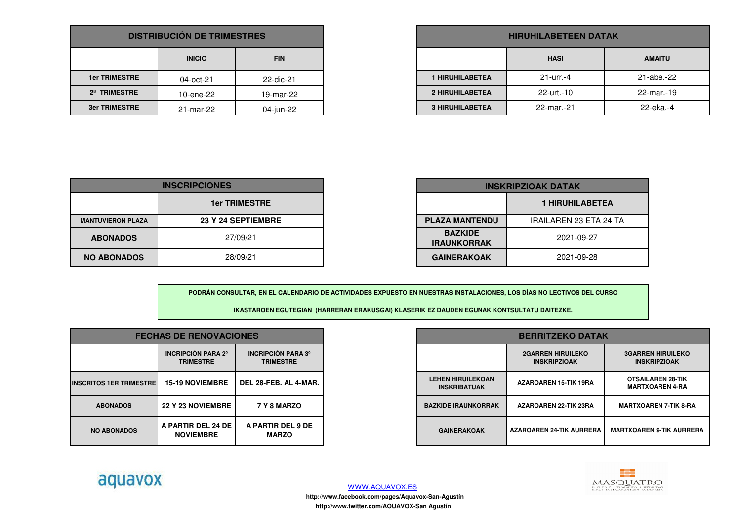| <b>DISTRIBUCIÓN DE TRIMESTRES</b> |               |            |  |  |
|-----------------------------------|---------------|------------|--|--|
|                                   | <b>INICIO</b> | <b>FIN</b> |  |  |
| <b>1er TRIMESTRE</b>              | 04-oct-21     | 22-dic-21  |  |  |
| 2 <sup>°</sup> TRIMESTRE          | 10-ene-22     | 19-mar-22  |  |  |
| <b>3er TRIMESTRE</b>              | 21-mar-22     | 04-jun-22  |  |  |

| <b>HIRUHILABETEEN DATAK</b>  |            |            |  |  |  |
|------------------------------|------------|------------|--|--|--|
| <b>HASI</b><br><b>AMAITU</b> |            |            |  |  |  |
| <b>1 HIRUHILABETEA</b>       | $21 - 0$   | 21-abe.-22 |  |  |  |
| <b>2 HIRUHILABETEA</b>       | 22-urt.-10 | 22-mar.-19 |  |  |  |
| <b>3 HIRUHILABETEA</b>       | 22-mar.-21 | 22-eka.-4  |  |  |  |

| <b>INSCRIPCIONES</b>     |                      |  |
|--------------------------|----------------------|--|
|                          | <b>1er TRIMESTRE</b> |  |
| <b>MANTUVIERON PLAZA</b> | 23 Y 24 SEPTIEMBRE   |  |
| <b>ABONADOS</b>          | 27/09/21             |  |
| <b>NO ABONADOS</b>       | 28/09/21             |  |

|   | <b>INSKRIPZIOAK DATAK</b>            |                               |  |
|---|--------------------------------------|-------------------------------|--|
|   |                                      | <b>1 HIRUHILABETEA</b>        |  |
| E | <b>PLAZA MANTENDU</b>                | <b>IRAILAREN 23 ETA 24 TA</b> |  |
|   | <b>BAZKIDE</b><br><b>IRAUNKORRAK</b> | 2021-09-27                    |  |
|   | <b>GAINERAKOAK</b>                   | 2021-09-28                    |  |

**PODRÁN CONSULTAR, EN EL CALENDARIO DE ACTIVIDADES EXPUESTO EN NUESTRAS INSTALACIONES, LOS DÍAS NO LECTIVOS DEL CURSO**

**IKASTAROEN EGUTEGIAN (HARRERAN ERAKUSGAI) KLASERIK EZ DAUDEN EGUNAK KONTSULTATU DAITEZKE.**

| <b>FECHAS DE RENOVACIONES</b> |                                          | <b>BERRITZEKO DATAK</b>                       |                                                 |                                                 |                                                    |
|-------------------------------|------------------------------------------|-----------------------------------------------|-------------------------------------------------|-------------------------------------------------|----------------------------------------------------|
|                               | INCRIPCIÓN PARA 2º<br><b>TRIMESTRE</b>   | <b>INCRIPCIÓN PARA 3º</b><br><b>TRIMESTRE</b> |                                                 | <b>2GARREN HIRUILEKO</b><br><b>INSKRIPZIOAK</b> | <b>3GARREN HIRUILEKO</b><br><b>INSKRIPZIOAK</b>    |
| <b>IMESTRE</b>                | <b>15-19 NOVIEMBRE</b>                   | DEL 28-FEB. AL 4-MAR.                         | <b>LEHEN HIRUILEKOAN</b><br><b>INSKRIBATUAK</b> | <b>AZAROAREN 15-TIK 19RA</b>                    | <b>OTSAILAREN 28-TIK</b><br><b>MARTXOAREN 4-RA</b> |
|                               | <b>22 Y 23 NOVIEMBRE</b>                 | 7 Y 8 MARZO                                   | <b>BAZKIDE IRAUNKORRAK</b>                      | <b>AZAROAREN 22-TIK 23RA</b>                    | <b>MARTXOAREN 7-TIK 8-RA</b>                       |
| <b>OS</b>                     | A PARTIR DEL 24 DE I<br><b>NOVIEMBRE</b> | A PARTIR DEL 9 DE<br><b>MARZO</b>             | <b>GAINERAKOAK</b>                              | <b>AZAROAREN 24-TIK AURRERA</b>                 | <b>MARTXOAREN 9-TIK AURRERA</b>                    |





**INSCRITOS 1ER TRIMESTRE**

**ABONADOS**

**NO ABONADOS**

WWW.AQUAVOX.ES

 **http://www.twitter.com/AQUAVOX-San Agustín http://www.facebook.com/pages/Aquavox-San-Agustín**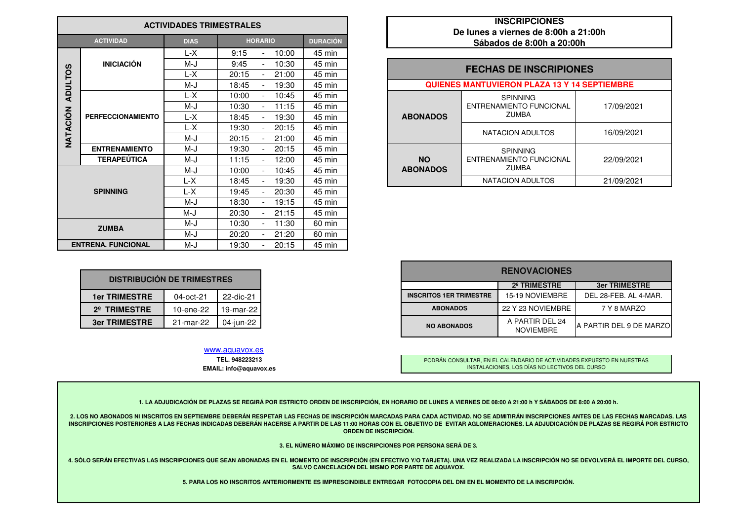| <b>ACTIVIDADES TRIMESTRALES</b> |                           |             |                                  |                 | <b>INSCRIPCIONES</b><br>De lunes a viernes de 8:00h a 21:00h |                                                     |            |
|---------------------------------|---------------------------|-------------|----------------------------------|-----------------|--------------------------------------------------------------|-----------------------------------------------------|------------|
|                                 | <b>ACTIVIDAD</b>          | <b>DIAS</b> | <b>HORARIO</b>                   | <b>DURACIÓN</b> |                                                              | Sábados de 8:00h a 20:00h                           |            |
|                                 |                           | L-X         | 10:00<br>9:15<br>$\blacksquare$  | 45 min          |                                                              |                                                     |            |
|                                 | <b>INICIACIÓN</b>         | M-J         | 9:45<br>10:30                    | 45 min          |                                                              | <b>FECHAS DE INSCRIPIONES</b>                       |            |
|                                 |                           | L-X         | 21:00<br>20:15<br>$\blacksquare$ | 45 min          |                                                              |                                                     |            |
| <b>ADULTOS</b>                  |                           | M-J         | 18:45<br>19:30                   | 45 min          |                                                              | <b>QUIENES MANTUVIERON PLAZA 13 Y 14 SEPTIEMBRE</b> |            |
|                                 |                           | L-X         | 10:45<br>10:00                   | 45 min          |                                                              | <b>SPINNING</b>                                     |            |
|                                 |                           | M-J         | 11:15<br>10:30<br>$\blacksquare$ | 45 min          |                                                              | <b>ENTRENAMIENTO FUNCIONAL</b>                      | 17/09/2021 |
| NATACIÓN                        | <b>PERFECCIONAMIENTO</b>  | L-X         | 18:45<br>19:30                   | 45 min          | <b>ABONADOS</b>                                              | ZUMBA                                               |            |
|                                 |                           | L-X         | 19:30<br>20:15                   | 45 min          |                                                              | NATACION ADULTOS                                    | 16/09/2021 |
|                                 |                           | M-J         | 20:15<br>21:00                   | 45 min          |                                                              |                                                     |            |
|                                 | <b>ENTRENAMIENTO</b>      | M-J         | 19:30<br>20:15                   | 45 min          |                                                              | <b>SPINNING</b>                                     |            |
|                                 | <b>TERAPEÚTICA</b>        | M-J         | 11:15<br>12:00                   | 45 min          | <b>NO</b>                                                    | ENTRENAMIENTO FUNCIONAL                             | 22/09/2021 |
|                                 |                           | M-J         | 10:00<br>10:45                   | 45 min          | <b>ABONADOS</b>                                              | <b>ZUMBA</b>                                        |            |
|                                 |                           | L-X         | 18:45<br>19:30                   | 45 min          |                                                              | NATACION ADULTOS                                    | 21/09/2021 |
| <b>SPINNING</b>                 |                           | L-X         | 20:30<br>19:45                   | 45 min          |                                                              |                                                     |            |
|                                 |                           | M-J         | 18:30<br>19:15                   | 45 min          |                                                              |                                                     |            |
|                                 |                           | M-J         | 20:30<br>21:15                   | 45 min          |                                                              |                                                     |            |
|                                 | <b>ZUMBA</b>              | M-J         | 11:30<br>10:30                   | 60 min          |                                                              |                                                     |            |
|                                 |                           | M-J         | 20:20<br>21:20                   | 60 min          |                                                              |                                                     |            |
|                                 | <b>ENTRENA, FUNCIONAL</b> | M-J         | 20:15<br>19:30                   | 45 min          |                                                              |                                                     |            |

## **INSCRIPCIONES De lunes a viernes de 8:00h a 21:00hSábados de 8:00h a 20:00h**

|                 | <b>SPINNING</b>                |                                                                                                                 |
|-----------------|--------------------------------|-----------------------------------------------------------------------------------------------------------------|
|                 | <b>ENTRENAMIENTO FUNCIONAL</b> | 17/09/2021                                                                                                      |
| <b>ABONADOS</b> | <b>ZUMBA</b>                   |                                                                                                                 |
|                 |                                | 16/09/2021                                                                                                      |
|                 |                                |                                                                                                                 |
|                 | <b>SPINNING</b>                |                                                                                                                 |
| <b>NO</b>       | <b>ENTRENAMIENTO FUNCIONAL</b> | 22/09/2021                                                                                                      |
| <b>ABONADOS</b> | <b>ZUMBA</b>                   |                                                                                                                 |
|                 | NATACION ADULTOS               | 21/09/2021                                                                                                      |
|                 |                                | <b>FECHAS DE INSCRIPIONES</b><br><b>QUIENES MANTUVIERON PLAZA 13 Y 14 SEPTIEMBRE</b><br><b>NATACION ADULTOS</b> |

|                           |  |                                | <b>RENOVACIONES</b>                                                                         |
|---------------------------|--|--------------------------------|---------------------------------------------------------------------------------------------|
| <b>CIÓN DE TRIMESTRES</b> |  |                                |                                                                                             |
|                           |  |                                | 2º TRIMESTRE                                                                                |
| 22-dic-21<br>04-oct-21    |  | <b>INSCRITOS 1ER TRIMESTRE</b> | 15-19 NOVIEMBRE                                                                             |
| 19-mar-22<br>10-ene-22    |  | <b>ABONADOS</b>                | 22 Y 23 NOVIEMBRE                                                                           |
| 04-iun-22<br>21-mar-22    |  |                                | A PARTIR DEL 24<br><b>A PARTIR DEL 9 DE MARZO</b><br><b>NO ABONADOS</b><br><b>NOVIEMBRE</b> |

PODRÁN CONSULTAR, EN EL CALENDARIO DE ACTIVIDADES EXPUESTO EN NUESTRAS INSTALACIONES, LOS DÍAS NO LECTIVOS DEL CURSO

**1. LA ADJUDICACIÓN DE PLAZAS SE REGIRÁ POR ESTRICTO ORDEN DE INSCRIPCIÓN, EN HORARIO DE LUNES A VIERNES DE 08:00 A 21:00 h Y SÁBADOS DE 8:00 A 20:00 h.**

**2. LOS NO ABONADOS NI INSCRITOS EN SEPTIEMBRE DEBERÁN RESPETAR LAS FECHAS DE INSCRIPCIÓN MARCADAS PARA CADA ACTIVIDAD. NO SE ADMITIRÁN INSCRIPCIONES ANTES DE LAS FECHAS MARCADAS. LAS** INSCRIPCIONES POSTERIORES A LAS FECHAS INDICADAS DEBERÁN HACERSE A PARTIR DE LAS 11:00 HORAS CON EL OBJETIVO DE EVITAR AGLOMERACIONES. LA ADJUDICACIÓN DE PLAZAS SE REGIRÁ POR ESTRICTO **ORDEN DE INSCRIPCIÓN.**

**3. EL NÚMERO MÁXIMO DE INSCRIPCIONES POR PERSONA SERÁ DE 3.**

**4. SÓLO SERÁN EFECTIVAS LAS INSCRIPCIONES QUE SEAN ABONADAS EN EL MOMENTO DE INSCRIPCIÓN (EN EFECTIVO Y/O TARJETA). UNA VEZ REALIZADA LA INSCRIPCIÓN NO SE DEVOLVERÁ EL IMPORTE DEL CURSO, SALVO CANCELACIÓN DEL MISMO POR PARTE DE AQUAVOX.**

**5. PARA LOS NO INSCRITOS ANTERIORMENTE ES IMPRESCINDIBLE ENTREGAR FOTOCOPIA DEL DNI EN EL MOMENTO DE LA INSCRIPCIÓN.**

| <b>DISTRIBUCIÓN DE TRIMESTRES</b> |           |           |  |  |
|-----------------------------------|-----------|-----------|--|--|
| <b>1er TRIMESTRE</b>              | 04-oct-21 | 22-dic-21 |  |  |
| 2 <sup>°</sup> TRIMESTRE          | 10-ene-22 | 19-mar-22 |  |  |
| <b>3er TRIMESTRE</b>              | 21-mar-22 | 04-jun-22 |  |  |
|                                   |           |           |  |  |

## www.aquavox.es

**TEL. 948223213 EMAIL: info@aquavox.es**